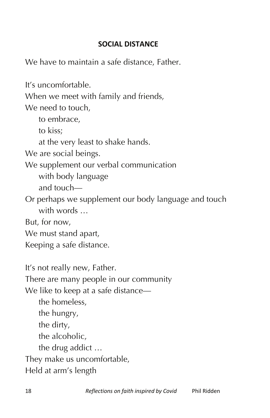## **SOCIAL DISTANCE**

We have to maintain a safe distance, Father.

It's uncomfortable. When we meet with family and friends, We need to touch, to embrace, to kiss; at the very least to shake hands. We are social beings. We supplement our verbal communication with body language and touch— Or perhaps we supplement our body language and touch with words ... But, for now, We must stand apart, Keeping a safe distance.

It's not really new, Father. There are many people in our community We like to keep at a safe distance the homeless, the hungry, the dirty, the alcoholic, the drug addict … They make us uncomfortable, Held at arm's length